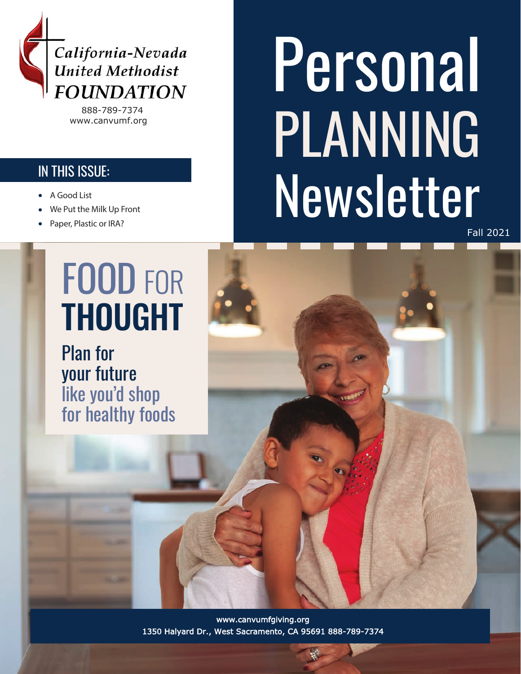

888-789-7374 www.canvumf.org

#### IN THIS ISSUE:

- 
- We Put the Milk Up Front
- Paper, Plastic or IRA?

#### FOOD FOR THOUGHT

Plan for your future like you'd shop for healthy foods

Personal PLANNING A Good List<br>We Put the Milk Up Front

Fall 2021

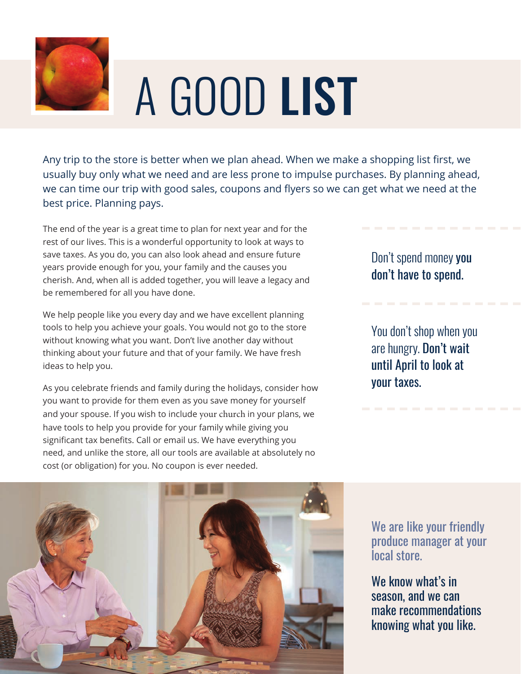

## A GOOD LIST

Any trip to the store is better when we plan ahead. When we make a shopping list first, we usually buy only what we need and are less prone to impulse purchases. By planning ahead, we can time our trip with good sales, coupons and flyers so we can get what we need at the best price. Planning pays.

The end of the year is a great time to plan for next year and for the rest of our lives. This is a wonderful opportunity to look at ways to save taxes. As you do, you can also look ahead and ensure future years provide enough for you, your family and the causes you cherish. And, when all is added together, you will leave a legacy and be remembered for all you have done.

We help people like you every day and we have excellent planning tools to help you achieve your goals. You would not go to the store without knowing what you want. Don't live another day without thinking about your future and that of your family. We have fresh ideas to help you.

As you celebrate friends and family during the holidays, consider how you want to provide for them even as you save money for yourself and your spouse. If you wish to include your church in your plans, we have tools to help you provide for your family while giving you significant tax benefits. Call or email us. We have everything you need, and unlike the store, all our tools are available at absolutely no cost (or obligation) for you. No coupon is ever needed.

Don't spend money you don't have to spend.

You don't shop when you are hungry. Don't wait until April to look at your taxes.



We are like your friendly produce manager at your local store.

We know what's in season, and we can make recommendations knowing what you like.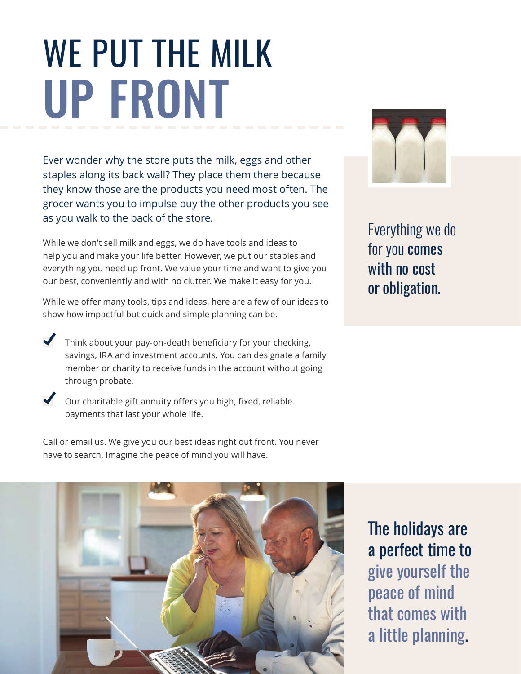### WE PUT THE MILK UP FRONT

Ever wonder why the store puts the milk, eggs and other staples along its back wall? They place them there because they know those are the products you need most often. The grocer wants you to impulse buy the other products you see as you walk to the back of the store.

While we don't sell milk and eggs, we do have tools and ideas to help you and make your life better. However, we put our staples and everything you need up front. We value your time and want to give you our best, conveniently and with no clutter. We make it easy for you.

While we offer many tools, tips and ideas, here are a few of our ideas to show how impactful but quick and simple planning can be.

- Think about your pay-on-death beneficiary for your checking, savings, IRA and investment accounts. You can designate a family member or charity to receive funds in the account without going through probate.
- Our charitable gift annuity offers you high, fixed, reliable payments that last your whole life.

Call or email us. We give you our best ideas right out front. You never have to search. Imagine the peace of mind you will have.



Everything we do for you comes with no cost or obligation.



The holidays are a perfect time to give yourself the peace of mind that comes with a little planning.